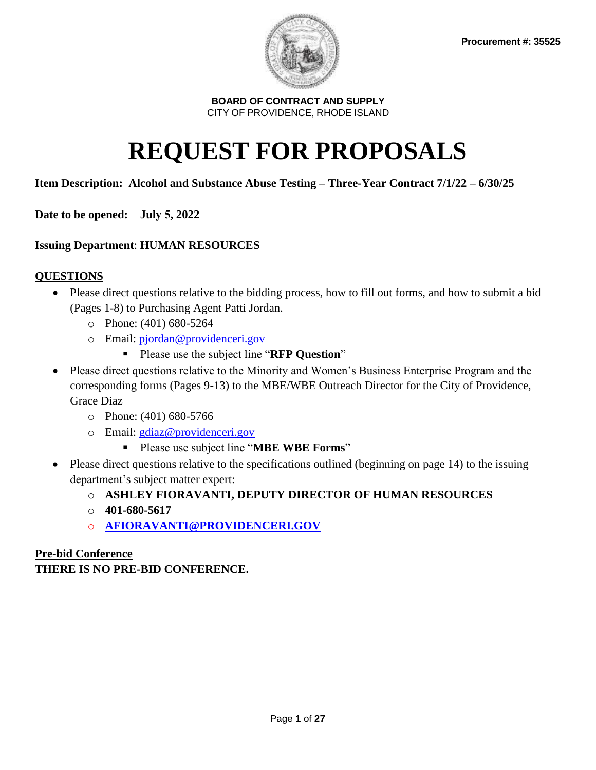

# **REQUEST FOR PROPOSALS**

## **Item Description: Alcohol and Substance Abuse Testing – Three-Year Contract 7/1/22 – 6/30/25**

**Date to be opened: July 5, 2022** 

## **Issuing Department**: **HUMAN RESOURCES**

## **QUESTIONS**

- Please direct questions relative to the bidding process, how to fill out forms, and how to submit a bid (Pages 1-8) to Purchasing Agent Patti Jordan.
	- o Phone: (401) 680-5264
	- o Email: [pjordan@providenceri.gov](mailto:pjordan@providenceri.gov)
		- Please use the subject line "**RFP Question**"
- Please direct questions relative to the Minority and Women's Business Enterprise Program and the corresponding forms (Pages 9-13) to the MBE/WBE Outreach Director for the City of Providence, Grace Diaz
	- o Phone: (401) 680-5766
	- o Email: [gdiaz@providenceri.gov](mailto:gdiaz@providenceri.gov)
		- Please use subject line "**MBE WBE Forms**"
- Please direct questions relative to the specifications outlined (beginning on page 14) to the issuing department's subject matter expert:
	- o **ASHLEY FIORAVANTI, DEPUTY DIRECTOR OF HUMAN RESOURCES**
	- o **401-680-5617**
	- o **[AFIORAVANTI@PROVIDENCERI.GOV](mailto:AFIORAVANTI@PROVIDENCERI.GOV)**

## **Pre-bid Conference**

## **THERE IS NO PRE-BID CONFERENCE.**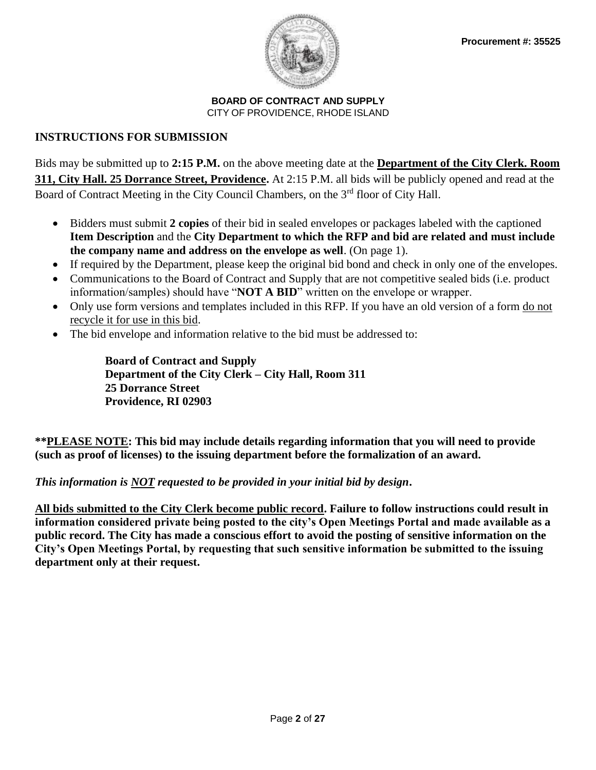

## **INSTRUCTIONS FOR SUBMISSION**

Bids may be submitted up to **2:15 P.M.** on the above meeting date at the **Department of the City Clerk. Room 311, City Hall. 25 Dorrance Street, Providence.** At 2:15 P.M. all bids will be publicly opened and read at the Board of Contract Meeting in the City Council Chambers, on the 3<sup>rd</sup> floor of City Hall.

- Bidders must submit **2 copies** of their bid in sealed envelopes or packages labeled with the captioned **Item Description** and the **City Department to which the RFP and bid are related and must include the company name and address on the envelope as well**. (On page 1).
- If required by the Department, please keep the original bid bond and check in only one of the envelopes.
- Communications to the Board of Contract and Supply that are not competitive sealed bids (i.e. product information/samples) should have "**NOT A BID**" written on the envelope or wrapper.
- Only use form versions and templates included in this RFP. If you have an old version of a form do not recycle it for use in this bid.
- The bid envelope and information relative to the bid must be addressed to:

**Board of Contract and Supply Department of the City Clerk – City Hall, Room 311 25 Dorrance Street Providence, RI 02903**

**\*\*PLEASE NOTE: This bid may include details regarding information that you will need to provide (such as proof of licenses) to the issuing department before the formalization of an award.** 

## *This information is NOT requested to be provided in your initial bid by design***.**

**All bids submitted to the City Clerk become public record. Failure to follow instructions could result in information considered private being posted to the city's Open Meetings Portal and made available as a public record. The City has made a conscious effort to avoid the posting of sensitive information on the City's Open Meetings Portal, by requesting that such sensitive information be submitted to the issuing department only at their request.**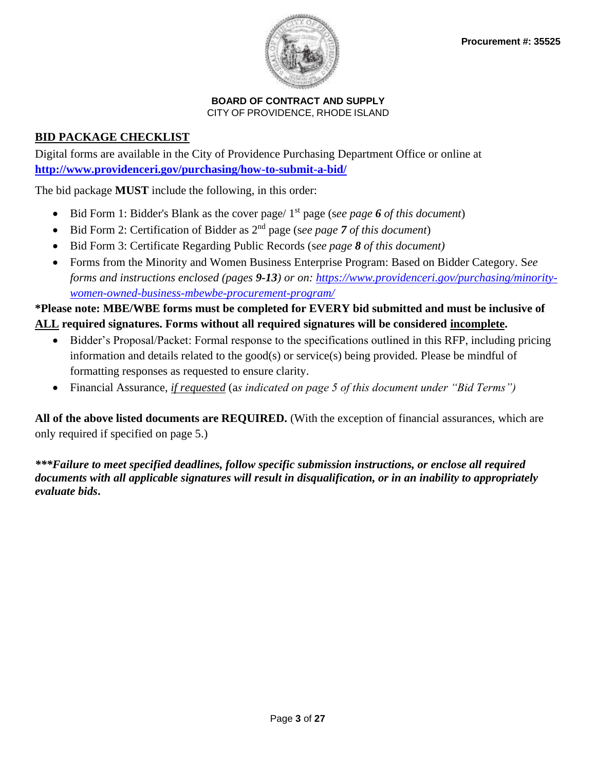

## **BID PACKAGE CHECKLIST**

Digital forms are available in the City of Providence Purchasing Department Office or online at **<http://www.providenceri.gov/purchasing/how-to-submit-a-bid/>**

The bid package **MUST** include the following, in this order:

- Bid Form 1: Bidder's Blank as the cover page/ 1<sup>st</sup> page (see page 6 of this document)
- Bid Form 2: Certification of Bidder as 2nd page (s*ee page 7 of this document*)
- Bid Form 3: Certificate Regarding Public Records (s*ee page 8 of this document)*
- Forms from the Minority and Women Business Enterprise Program: Based on Bidder Category. S*ee forms and instructions enclosed (pages 9-13) or on: [https://www.providenceri.gov/purchasing/minority](https://www.providenceri.gov/purchasing/minority-women-owned-business-mbewbe-procurement-program/)[women-owned-business-mbewbe-procurement-program/](https://www.providenceri.gov/purchasing/minority-women-owned-business-mbewbe-procurement-program/)*

## **\*Please note: MBE/WBE forms must be completed for EVERY bid submitted and must be inclusive of ALL required signatures. Forms without all required signatures will be considered incomplete.**

- Bidder's Proposal/Packet: Formal response to the specifications outlined in this RFP, including pricing information and details related to the good(s) or service(s) being provided. Please be mindful of formatting responses as requested to ensure clarity.
- Financial Assurance, *if requested* (a*s indicated on page 5 of this document under "Bid Terms")*

**All of the above listed documents are REQUIRED.** (With the exception of financial assurances, which are only required if specified on page 5.)

*\*\*\*Failure to meet specified deadlines, follow specific submission instructions, or enclose all required documents with all applicable signatures will result in disqualification, or in an inability to appropriately evaluate bids***.**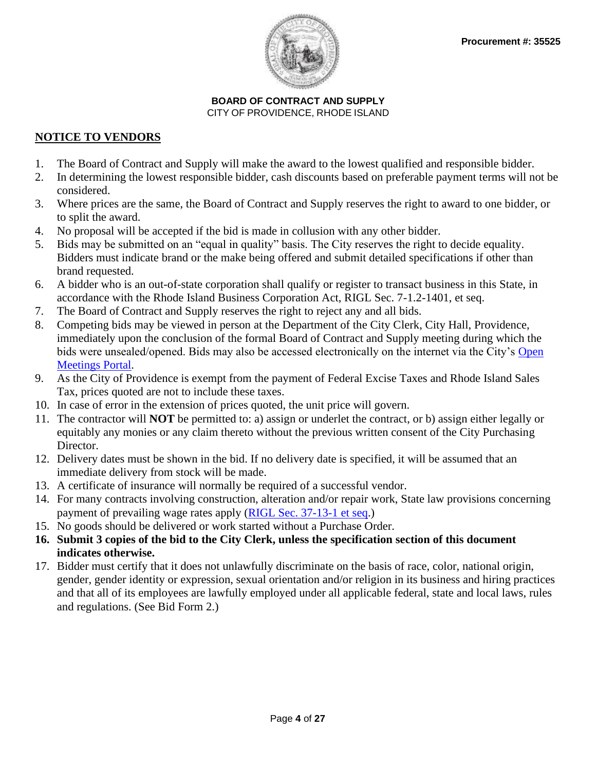

## **NOTICE TO VENDORS**

- 1. The Board of Contract and Supply will make the award to the lowest qualified and responsible bidder.
- 2. In determining the lowest responsible bidder, cash discounts based on preferable payment terms will not be considered.
- 3. Where prices are the same, the Board of Contract and Supply reserves the right to award to one bidder, or to split the award.
- 4. No proposal will be accepted if the bid is made in collusion with any other bidder.
- 5. Bids may be submitted on an "equal in quality" basis. The City reserves the right to decide equality. Bidders must indicate brand or the make being offered and submit detailed specifications if other than brand requested.
- 6. A bidder who is an out-of-state corporation shall qualify or register to transact business in this State, in accordance with the Rhode Island Business Corporation Act, RIGL Sec. 7-1.2-1401, et seq.
- 7. The Board of Contract and Supply reserves the right to reject any and all bids.
- 8. Competing bids may be viewed in person at the Department of the City Clerk, City Hall, Providence, immediately upon the conclusion of the formal Board of Contract and Supply meeting during which the bids were unsealed/opened. Bids may also be accessed electronically on the internet via the City's [Open](http://providenceri.iqm2.com/Citizens/Default.aspx)  [Meetings Portal.](http://providenceri.iqm2.com/Citizens/Default.aspx)
- 9. As the City of Providence is exempt from the payment of Federal Excise Taxes and Rhode Island Sales Tax, prices quoted are not to include these taxes.
- 10. In case of error in the extension of prices quoted, the unit price will govern.
- 11. The contractor will **NOT** be permitted to: a) assign or underlet the contract, or b) assign either legally or equitably any monies or any claim thereto without the previous written consent of the City Purchasing Director.
- 12. Delivery dates must be shown in the bid. If no delivery date is specified, it will be assumed that an immediate delivery from stock will be made.
- 13. A certificate of insurance will normally be required of a successful vendor.
- 14. For many contracts involving construction, alteration and/or repair work, State law provisions concerning payment of prevailing wage rates apply [\(RIGL Sec. 37-13-1 et seq.](http://webserver.rilin.state.ri.us/Statutes/TITLE37/37-13/INDEX.HTM))
- 15. No goods should be delivered or work started without a Purchase Order.
- **16. Submit 3 copies of the bid to the City Clerk, unless the specification section of this document indicates otherwise.**
- 17. Bidder must certify that it does not unlawfully discriminate on the basis of race, color, national origin, gender, gender identity or expression, sexual orientation and/or religion in its business and hiring practices and that all of its employees are lawfully employed under all applicable federal, state and local laws, rules and regulations. (See Bid Form 2.)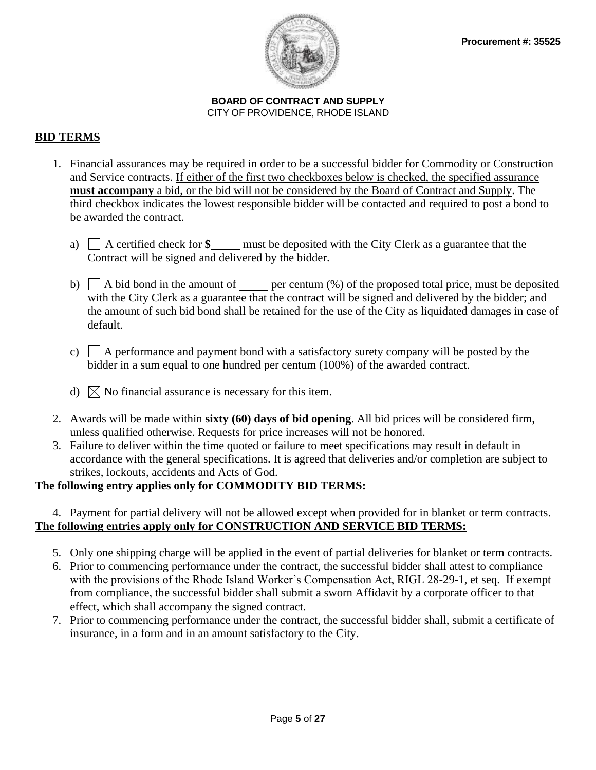

## **BID TERMS**

- 1. Financial assurances may be required in order to be a successful bidder for Commodity or Construction and Service contracts. If either of the first two checkboxes below is checked, the specified assurance **must accompany** a bid, or the bid will not be considered by the Board of Contract and Supply. The third checkbox indicates the lowest responsible bidder will be contacted and required to post a bond to be awarded the contract.
	- a) A certified check for **\$** must be deposited with the City Clerk as a guarantee that the Contract will be signed and delivered by the bidder.
	- b)  $\Box$  A bid bond in the amount of per centum  $\degree$  of the proposed total price, must be deposited with the City Clerk as a guarantee that the contract will be signed and delivered by the bidder; and the amount of such bid bond shall be retained for the use of the City as liquidated damages in case of default.
	- c)  $\Box$  A performance and payment bond with a satisfactory surety company will be posted by the bidder in a sum equal to one hundred per centum (100%) of the awarded contract.
	- d)  $\bowtie$  No financial assurance is necessary for this item.
- 2. Awards will be made within **sixty (60) days of bid opening**. All bid prices will be considered firm, unless qualified otherwise. Requests for price increases will not be honored.
- 3. Failure to deliver within the time quoted or failure to meet specifications may result in default in accordance with the general specifications. It is agreed that deliveries and/or completion are subject to strikes, lockouts, accidents and Acts of God.

## **The following entry applies only for COMMODITY BID TERMS:**

## 4. Payment for partial delivery will not be allowed except when provided for in blanket or term contracts. **The following entries apply only for CONSTRUCTION AND SERVICE BID TERMS:**

- 5. Only one shipping charge will be applied in the event of partial deliveries for blanket or term contracts.
- 6. Prior to commencing performance under the contract, the successful bidder shall attest to compliance with the provisions of the Rhode Island Worker's Compensation Act, RIGL 28-29-1, et seq. If exempt from compliance, the successful bidder shall submit a sworn Affidavit by a corporate officer to that effect, which shall accompany the signed contract.
- 7. Prior to commencing performance under the contract, the successful bidder shall, submit a certificate of insurance, in a form and in an amount satisfactory to the City.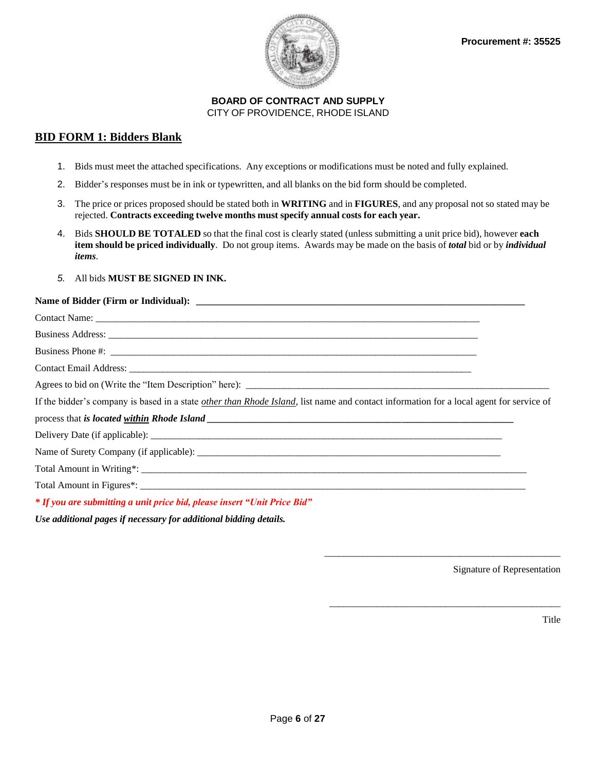

### **BID FORM 1: Bidders Blank**

- 1. Bids must meet the attached specifications. Any exceptions or modifications must be noted and fully explained.
- 2. Bidder's responses must be in ink or typewritten, and all blanks on the bid form should be completed.
- 3. The price or prices proposed should be stated both in **WRITING** and in **FIGURES**, and any proposal not so stated may be rejected. **Contracts exceeding twelve months must specify annual costs for each year.**
- 4. Bids **SHOULD BE TOTALED** so that the final cost is clearly stated (unless submitting a unit price bid), however **each item should be priced individually**. Do not group items. Awards may be made on the basis of *total* bid or by *individual items*.
- *5.* All bids **MUST BE SIGNED IN INK.**

#### Name of Bidder (Firm or Individual):

| If the bidder's company is based in a state other than Rhode Island, list name and contact information for a local agent for service of |  |
|-----------------------------------------------------------------------------------------------------------------------------------------|--|
|                                                                                                                                         |  |
|                                                                                                                                         |  |
|                                                                                                                                         |  |
|                                                                                                                                         |  |
|                                                                                                                                         |  |
| * If you are submitting a unit price bid, please insert "Unit Price Bid"                                                                |  |
| Use additional pages if neegosam for additional hidding details                                                                         |  |

*Use additional pages if necessary for additional bidding details.* 

Signature of Representation

\_\_\_\_\_\_\_\_\_\_\_\_\_\_\_\_\_\_\_\_\_\_\_\_\_\_\_\_\_\_\_\_\_\_\_\_\_\_\_\_\_\_\_\_\_\_\_\_\_

\_\_\_\_\_\_\_\_\_\_\_\_\_\_\_\_\_\_\_\_\_\_\_\_\_\_\_\_\_\_\_\_\_\_\_\_\_\_\_\_\_\_\_\_\_\_\_\_

Title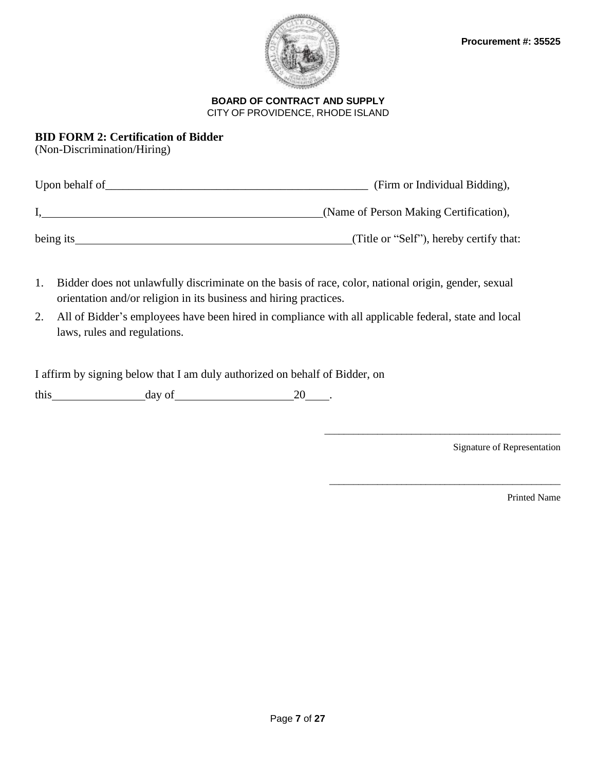

## **BID FORM 2: Certification of Bidder**

(Non-Discrimination/Hiring)

| Upon behalf of | (Firm or Individual Bidding),           |
|----------------|-----------------------------------------|
|                | (Name of Person Making Certification),  |
| being its      | (Title or "Self"), hereby certify that: |

- 1. Bidder does not unlawfully discriminate on the basis of race, color, national origin, gender, sexual orientation and/or religion in its business and hiring practices.
- 2. All of Bidder's employees have been hired in compliance with all applicable federal, state and local laws, rules and regulations.

I affirm by signing below that I am duly authorized on behalf of Bidder, on

this day of 20 .

Signature of Representation

\_\_\_\_\_\_\_\_\_\_\_\_\_\_\_\_\_\_\_\_\_\_\_\_\_\_\_\_\_\_\_\_\_\_\_\_\_\_\_\_\_\_\_\_\_\_\_\_\_

\_\_\_\_\_\_\_\_\_\_\_\_\_\_\_\_\_\_\_\_\_\_\_\_\_\_\_\_\_\_\_\_\_\_\_\_\_\_\_\_\_\_\_\_\_\_\_\_

Printed Name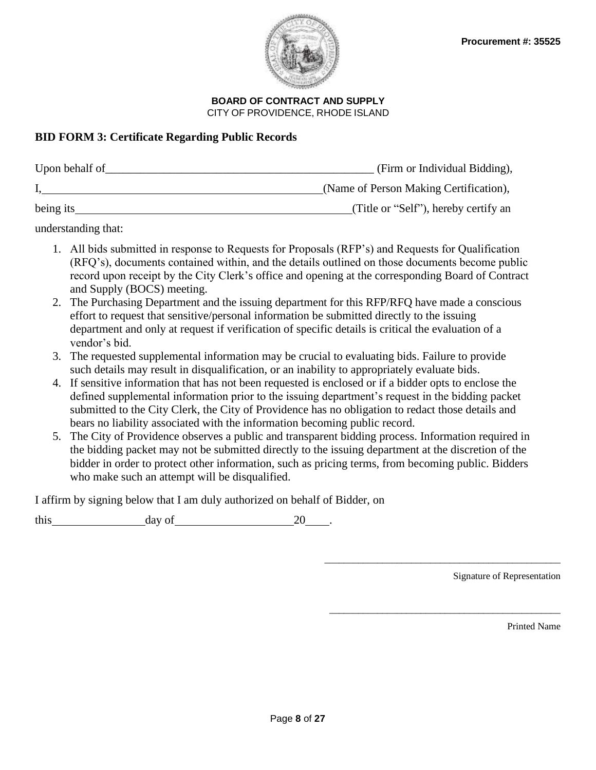

## **BID FORM 3: Certificate Regarding Public Records**

| Upon behalf of | (Firm or Individual Bidding),          |
|----------------|----------------------------------------|
|                | (Name of Person Making Certification), |
| being its      | (Title or "Self"), hereby certify an   |

understanding that:

- 1. All bids submitted in response to Requests for Proposals (RFP's) and Requests for Qualification (RFQ's), documents contained within, and the details outlined on those documents become public record upon receipt by the City Clerk's office and opening at the corresponding Board of Contract and Supply (BOCS) meeting.
- 2. The Purchasing Department and the issuing department for this RFP/RFQ have made a conscious effort to request that sensitive/personal information be submitted directly to the issuing department and only at request if verification of specific details is critical the evaluation of a vendor's bid.
- 3. The requested supplemental information may be crucial to evaluating bids. Failure to provide such details may result in disqualification, or an inability to appropriately evaluate bids.
- 4. If sensitive information that has not been requested is enclosed or if a bidder opts to enclose the defined supplemental information prior to the issuing department's request in the bidding packet submitted to the City Clerk, the City of Providence has no obligation to redact those details and bears no liability associated with the information becoming public record.
- 5. The City of Providence observes a public and transparent bidding process. Information required in the bidding packet may not be submitted directly to the issuing department at the discretion of the bidder in order to protect other information, such as pricing terms, from becoming public. Bidders who make such an attempt will be disqualified.

I affirm by signing below that I am duly authorized on behalf of Bidder, on

this day of 20 .

Signature of Representation

\_\_\_\_\_\_\_\_\_\_\_\_\_\_\_\_\_\_\_\_\_\_\_\_\_\_\_\_\_\_\_\_\_\_\_\_\_\_\_\_\_\_\_\_\_\_\_\_\_

\_\_\_\_\_\_\_\_\_\_\_\_\_\_\_\_\_\_\_\_\_\_\_\_\_\_\_\_\_\_\_\_\_\_\_\_\_\_\_\_\_\_\_\_\_\_\_\_

Printed Name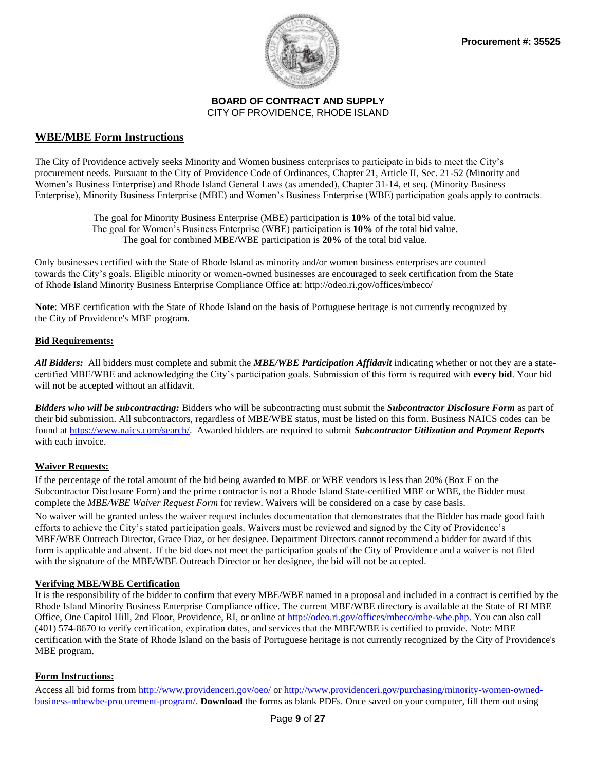

### **WBE/MBE Form Instructions**

The City of Providence actively seeks Minority and Women business enterprises to participate in bids to meet the City's procurement needs. Pursuant to the City of Providence Code of Ordinances, Chapter 21, Article II, Sec. 21-52 (Minority and Women's Business Enterprise) and Rhode Island General Laws (as amended), Chapter 31-14, et seq. (Minority Business Enterprise), Minority Business Enterprise (MBE) and Women's Business Enterprise (WBE) participation goals apply to contracts.

> The goal for Minority Business Enterprise (MBE) participation is **10%** of the total bid value. The goal for Women's Business Enterprise (WBE) participation is **10%** of the total bid value. The goal for combined MBE/WBE participation is **20%** of the total bid value.

Only businesses certified with the State of Rhode Island as minority and/or women business enterprises are counted towards the City's goals. Eligible minority or women-owned businesses are encouraged to seek certification from the State of Rhode Island Minority Business Enterprise Compliance Office at: http://odeo.ri.gov/offices/mbeco/

**Note**: MBE certification with the State of Rhode Island on the basis of Portuguese heritage is not currently recognized by the City of Providence's MBE program.

#### **Bid Requirements:**

*All Bidders:* All bidders must complete and submit the *MBE/WBE Participation Affidavit* indicating whether or not they are a statecertified MBE/WBE and acknowledging the City's participation goals. Submission of this form is required with **every bid**. Your bid will not be accepted without an affidavit.

*Bidders who will be subcontracting:* Bidders who will be subcontracting must submit the *Subcontractor Disclosure Form* as part of their bid submission. All subcontractors, regardless of MBE/WBE status, must be listed on this form. Business NAICS codes can be found a[t https://www.naics.com/search/.](https://www.naics.com/search/) Awarded bidders are required to submit *Subcontractor Utilization and Payment Reports* with each invoice.

#### **Waiver Requests:**

If the percentage of the total amount of the bid being awarded to MBE or WBE vendors is less than 20% (Box F on the Subcontractor Disclosure Form) and the prime contractor is not a Rhode Island State-certified MBE or WBE, the Bidder must complete the *MBE/WBE Waiver Request Form* for review. Waivers will be considered on a case by case basis.

No waiver will be granted unless the waiver request includes documentation that demonstrates that the Bidder has made good faith efforts to achieve the City's stated participation goals. Waivers must be reviewed and signed by the City of Providence's MBE/WBE Outreach Director, Grace Diaz, or her designee. Department Directors cannot recommend a bidder for award if this form is applicable and absent. If the bid does not meet the participation goals of the City of Providence and a waiver is not filed with the signature of the MBE/WBE Outreach Director or her designee, the bid will not be accepted.

#### **Verifying MBE/WBE Certification**

It is the responsibility of the bidder to confirm that every MBE/WBE named in a proposal and included in a contract is certified by the Rhode Island Minority Business Enterprise Compliance office. The current MBE/WBE directory is available at the State of RI MBE Office, One Capitol Hill, 2nd Floor, Providence, RI, or online at [http://odeo.ri.gov/offices/mbeco/mbe-wbe.php.](http://odeo.ri.gov/offices/mbeco/mbe-wbe.php) You can also call (401) 574-8670 to verify certification, expiration dates, and services that the MBE/WBE is certified to provide. Note: MBE certification with the State of Rhode Island on the basis of Portuguese heritage is not currently recognized by the City of Providence's MBE program.

#### **Form Instructions:**

Access all bid forms from<http://www.providenceri.gov/oeo/> or [http://www.providenceri.gov/purchasing/minority-women-owned](http://www.providenceri.gov/purchasing/minority-women-owned-business-mbewbe-procurement-program/)[business-mbewbe-procurement-program/.](http://www.providenceri.gov/purchasing/minority-women-owned-business-mbewbe-procurement-program/) **Download** the forms as blank PDFs. Once saved on your computer, fill them out using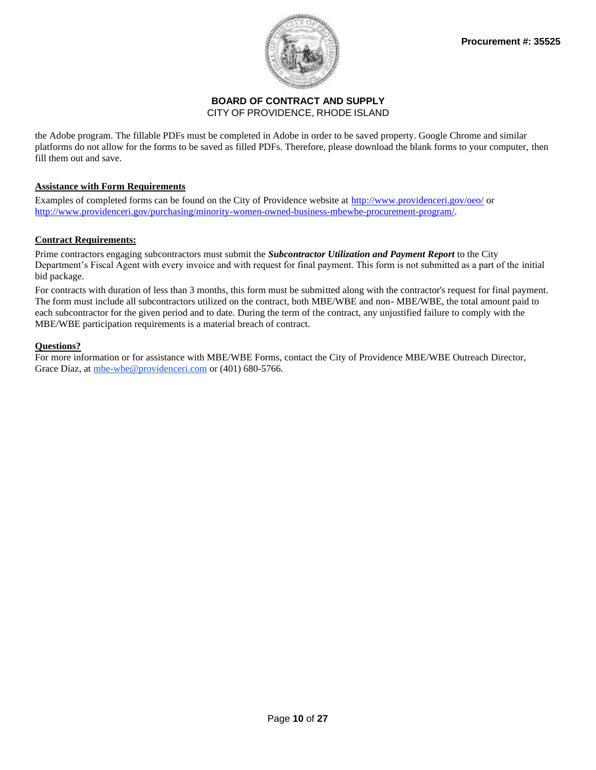

the Adobe program. The fillable PDFs must be completed in Adobe in order to be saved property. Google Chrome and similar platforms do not allow for the forms to be saved as filled PDFs. Therefore, please download the blank forms to your computer, then fill them out and save.

#### **Assistance with Form Requirements**

Examples of completed forms can be found on the City of Providence website at<http://www.providenceri.gov/oeo/> or [http://www.providenceri.gov/purchasing/minority-women-owned-business-mbewbe-procurement-program/.](http://www.providenceri.gov/purchasing/minority-women-owned-business-mbewbe-procurement-program/)

#### **Contract Requirements:**

Prime contractors engaging subcontractors must submit the *Subcontractor Utilization and Payment Report* to the City Department's Fiscal Agent with every invoice and with request for final payment. This form is not submitted as a part of the initial bid package.

For contracts with duration of less than 3 months, this form must be submitted along with the contractor's request for final payment. The form must include all subcontractors utilized on the contract, both MBE/WBE and non- MBE/WBE, the total amount paid to each subcontractor for the given period and to date. During the term of the contract, any unjustified failure to comply with the MBE/WBE participation requirements is a material breach of contract.

#### **Questions?**

For more information or for assistance with MBE/WBE Forms, contact the City of Providence MBE/WBE Outreach Director, Grace Diaz, at [mbe-wbe@providenceri.com](mailto:mbe-wbe@providenceri.com) or (401) 680-5766.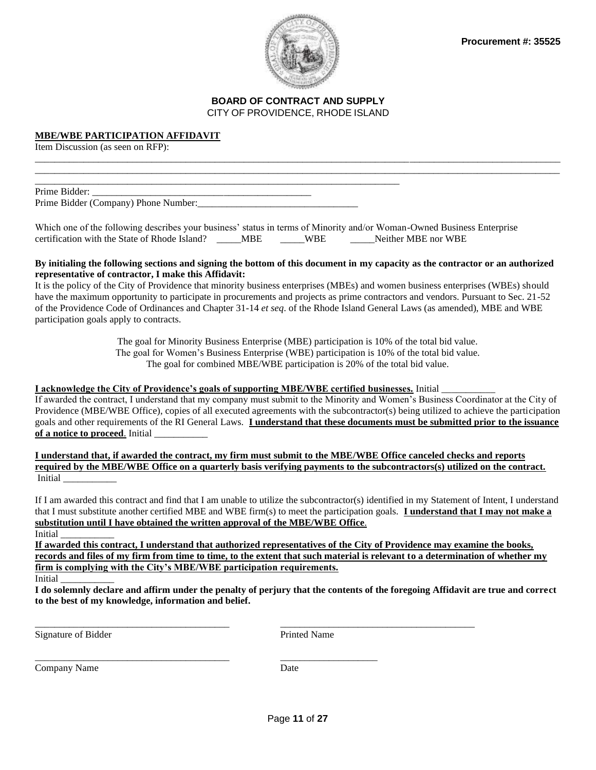



\_\_\_\_\_\_\_\_\_\_\_\_\_\_\_\_\_\_\_\_\_\_\_\_\_\_\_\_\_\_\_\_\_\_\_\_\_\_\_\_\_\_\_\_\_\_\_\_\_\_\_\_\_\_\_\_\_\_\_\_\_\_\_\_\_\_\_\_\_\_\_\_\_\_\_\_\_\_\_\_\_\_\_\_\_\_\_\_\_\_\_\_\_\_\_\_\_\_\_\_\_\_\_\_\_\_\_\_ \_\_\_\_\_\_\_\_\_\_\_\_\_\_\_\_\_\_\_\_\_\_\_\_\_\_\_\_\_\_\_\_\_\_\_\_\_\_\_\_\_\_\_\_\_\_\_\_\_\_\_\_\_\_\_\_\_\_\_\_\_\_\_\_\_\_\_\_\_\_\_\_\_\_\_\_\_\_\_\_\_\_\_\_\_\_\_\_\_\_\_\_\_\_\_\_\_\_\_\_\_\_\_\_\_\_\_\_

#### **MBE/WBE PARTICIPATION AFFIDAVIT**

Item Discussion (as seen on RFP):

Prime Bidder: Prime Bidder (Company) Phone Number:\_\_\_\_\_\_\_\_\_\_\_\_\_\_\_\_\_\_\_\_\_\_\_\_\_\_\_\_\_\_\_\_\_

\_\_\_\_\_\_\_\_\_\_\_\_\_\_\_\_\_\_\_\_\_\_\_\_\_\_\_\_\_\_\_\_\_\_\_\_\_\_\_\_\_\_\_\_\_\_\_\_\_\_\_\_\_\_\_\_\_\_\_\_\_\_\_\_\_\_\_\_\_\_\_\_\_\_\_

| Which one of the following describes your business' status in terms of Minority and/or Woman-Owned Business Enterprise |     |            |                     |
|------------------------------------------------------------------------------------------------------------------------|-----|------------|---------------------|
| certification with the State of Rhode Island?                                                                          | MBE | <b>WBE</b> | Neither MBE nor WBE |

#### **By initialing the following sections and signing the bottom of this document in my capacity as the contractor or an authorized representative of contractor, I make this Affidavit:**

It is the policy of the City of Providence that minority business enterprises (MBEs) and women business enterprises (WBEs) should have the maximum opportunity to participate in procurements and projects as prime contractors and vendors. Pursuant to Sec. 21-52 of the Providence Code of Ordinances and Chapter 31-14 *et seq*. of the Rhode Island General Laws (as amended), MBE and WBE participation goals apply to contracts.

> The goal for Minority Business Enterprise (MBE) participation is 10% of the total bid value. The goal for Women's Business Enterprise (WBE) participation is 10% of the total bid value. The goal for combined MBE/WBE participation is 20% of the total bid value.

#### **I acknowledge the City of Providence's goals of supporting MBE/WBE certified businesses.** Initial \_\_\_\_\_\_\_\_\_\_\_

If awarded the contract, I understand that my company must submit to the Minority and Women's Business Coordinator at the City of Providence (MBE/WBE Office), copies of all executed agreements with the subcontractor(s) being utilized to achieve the participation goals and other requirements of the RI General Laws. **I understand that these documents must be submitted prior to the issuance**  of a notice to proceed. Initial

**I understand that, if awarded the contract, my firm must submit to the MBE/WBE Office canceled checks and reports required by the MBE/WBE Office on a quarterly basis verifying payments to the subcontractors(s) utilized on the contract.** Initial \_\_\_\_\_\_\_\_\_\_\_

If I am awarded this contract and find that I am unable to utilize the subcontractor(s) identified in my Statement of Intent, I understand that I must substitute another certified MBE and WBE firm(s) to meet the participation goals. **I understand that I may not make a substitution until I have obtained the written approval of the MBE/WBE Office**.

Initial \_\_\_\_\_\_\_\_\_\_\_

**If awarded this contract, I understand that authorized representatives of the City of Providence may examine the books, records and files of my firm from time to time, to the extent that such material is relevant to a determination of whether my firm is complying with the City's MBE/WBE participation requirements.** 

Initial \_\_\_\_\_\_\_\_\_\_\_

**I do solemnly declare and affirm under the penalty of perjury that the contents of the foregoing Affidavit are true and correct to the best of my knowledge, information and belief.**

Signature of Bidder Printed Name

Company Name Date

\_\_\_\_\_\_\_\_\_\_\_\_\_\_\_\_\_\_\_\_\_\_\_\_\_\_\_\_\_\_\_\_\_\_\_\_\_\_\_\_ \_\_\_\_\_\_\_\_\_\_\_\_\_\_\_\_\_\_\_\_\_\_\_\_\_\_\_\_\_\_\_\_\_\_\_\_\_\_\_\_

\_\_\_\_\_\_\_\_\_\_\_\_\_\_\_\_\_\_\_\_\_\_\_\_\_\_\_\_\_\_\_\_\_\_\_\_\_\_\_\_ \_\_\_\_\_\_\_\_\_\_\_\_\_\_\_\_\_\_\_\_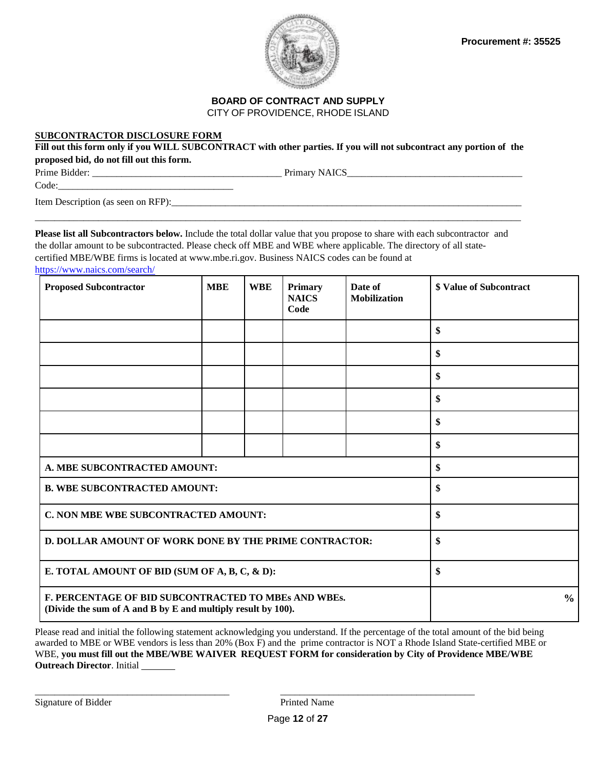

## **BOARD OF CONTRACT AND SUPPLY**

CITY OF PROVIDENCE, RHODE ISLAND

#### **SUBCONTRACTOR DISCLOSURE FORM**

Fill out this form only if you WILL SUBCONTRACT with other parties. If you will not subcontract any portion of the **proposed bid, do not fill out this form.**

Prime Bidder: \_\_\_\_\_\_\_\_\_\_\_\_\_\_\_\_\_\_\_\_\_\_\_\_\_\_\_\_\_\_\_\_\_\_\_\_\_\_\_ Primary NAICS\_\_\_\_\_\_\_\_\_\_\_\_\_\_\_\_\_\_\_\_\_\_\_\_\_\_\_\_\_\_\_\_\_\_\_\_

Code:\_\_\_\_\_\_\_\_\_\_\_\_\_\_\_\_\_\_\_\_\_\_\_\_\_\_\_\_\_\_\_\_\_\_\_\_

Item Description (as seen on RFP):\_\_\_\_\_\_\_\_\_\_\_\_\_\_\_\_\_\_\_\_\_\_\_\_\_\_\_\_\_\_\_\_\_\_\_\_\_\_\_\_\_\_\_\_\_\_\_\_\_\_\_\_\_\_\_\_\_\_\_\_\_\_\_\_\_\_\_\_\_\_\_\_

**Please list all Subcontractors below.** Include the total dollar value that you propose to share with each subcontractor and the dollar amount to be subcontracted. Please check off MBE and WBE where applicable. The directory of all statecertified MBE/WBE firms is located at [www.mbe.ri.gov.](http://www.mbe.ri.gov/) Business NAICS codes can be found at <https://www.naics.com/search/>

\_\_\_\_\_\_\_\_\_\_\_\_\_\_\_\_\_\_\_\_\_\_\_\_\_\_\_\_\_\_\_\_\_\_\_\_\_\_\_\_\_\_\_\_\_\_\_\_\_\_\_\_\_\_\_\_\_\_\_\_\_\_\_\_\_\_\_\_\_\_\_\_\_\_\_\_\_\_\_\_\_\_\_\_\_\_\_\_\_\_\_\_\_\_\_\_\_\_\_\_

| <b>Proposed Subcontractor</b>                                                                                        | <b>MBE</b> | <b>WBE</b> | Primary<br><b>NAICS</b><br>Code | Date of<br><b>Mobilization</b> | <b>\$ Value of Subcontract</b> |
|----------------------------------------------------------------------------------------------------------------------|------------|------------|---------------------------------|--------------------------------|--------------------------------|
|                                                                                                                      |            |            |                                 |                                | \$                             |
|                                                                                                                      |            |            |                                 |                                | \$                             |
|                                                                                                                      |            |            |                                 |                                | \$                             |
|                                                                                                                      |            |            |                                 |                                | \$                             |
|                                                                                                                      |            |            |                                 |                                | \$                             |
|                                                                                                                      |            |            |                                 |                                | \$                             |
| A. MBE SUBCONTRACTED AMOUNT:                                                                                         |            |            |                                 |                                | \$                             |
| <b>B. WBE SUBCONTRACTED AMOUNT:</b>                                                                                  |            |            |                                 |                                | \$                             |
| C. NON MBE WBE SUBCONTRACTED AMOUNT:                                                                                 |            |            | \$                              |                                |                                |
| D. DOLLAR AMOUNT OF WORK DONE BY THE PRIME CONTRACTOR:                                                               |            |            | \$                              |                                |                                |
| E. TOTAL AMOUNT OF BID (SUM OF A, B, C, & D):                                                                        |            |            |                                 |                                | \$                             |
| F. PERCENTAGE OF BID SUBCONTRACTED TO MBEs AND WBEs.<br>(Divide the sum of A and B by E and multiply result by 100). |            |            |                                 |                                | $\frac{6}{6}$                  |

Please read and initial the following statement acknowledging you understand. If the percentage of the total amount of the bid being awarded to MBE or WBE vendors is less than 20% (Box F) and the prime contractor is NOT a Rhode Island State-certified MBE or WBE, **you must fill out the MBE/WBE WAIVER REQUEST FORM for consideration by City of Providence MBE/WBE Outreach Director**. Initial

\_\_\_\_\_\_\_\_\_\_\_\_\_\_\_\_\_\_\_\_\_\_\_\_\_\_\_\_\_\_\_\_\_\_\_\_\_\_\_\_ \_\_\_\_\_\_\_\_\_\_\_\_\_\_\_\_\_\_\_\_\_\_\_\_\_\_\_\_\_\_\_\_\_\_\_\_\_\_\_\_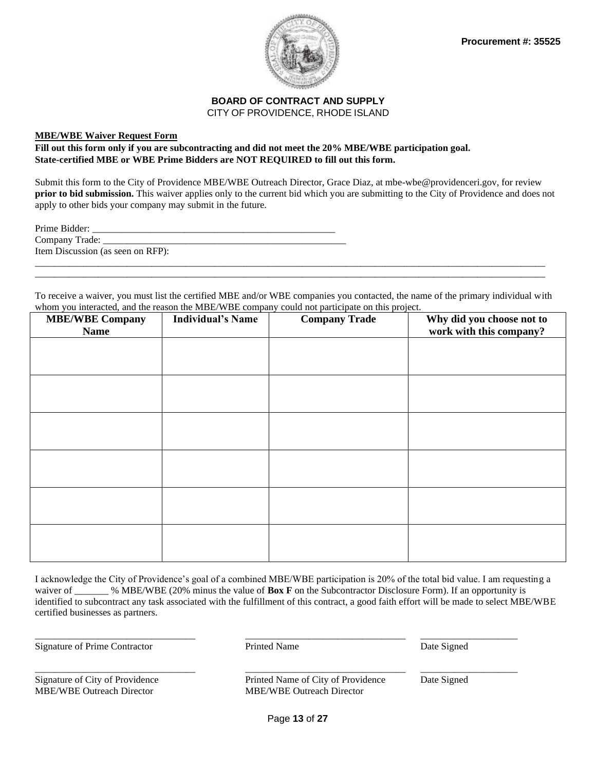

#### **MBE/WBE Waiver Request Form**

**Fill out this form only if you are subcontracting and did not meet the 20% MBE/WBE participation goal. State-certified MBE or WBE Prime Bidders are NOT REQUIRED to fill out this form.**

Submit this form to the City of Providence MBE/WBE Outreach Director, Grace Diaz, at mbe-wbe@providenceri.gov, for review **prior to bid submission.** This waiver applies only to the current bid which you are submitting to the City of Providence and does not apply to other bids your company may submit in the future.

Prime Bidder: \_\_\_\_\_\_\_\_\_\_\_\_\_\_\_\_\_\_\_\_\_\_\_\_\_\_\_\_\_\_\_\_\_\_\_\_\_\_\_\_\_\_\_\_\_\_\_\_\_\_ Company Trade: \_\_\_\_\_\_\_\_\_\_\_\_\_\_\_\_\_\_\_\_\_\_\_\_\_\_\_\_\_\_\_\_\_\_\_\_\_\_\_\_\_\_\_\_\_\_\_\_\_\_ Item Discussion (as seen on RFP): \_\_\_\_\_\_\_\_\_\_\_\_\_\_\_\_\_\_\_\_\_\_\_\_\_\_\_\_\_\_\_\_\_\_\_\_\_\_\_\_\_\_\_\_\_\_\_\_\_\_\_\_\_\_\_\_\_\_\_\_\_\_\_\_\_\_\_\_\_\_\_\_\_\_\_\_\_\_\_\_\_\_\_\_\_\_\_\_\_\_\_\_\_\_\_\_\_\_\_\_\_\_\_\_\_

To receive a waiver, you must list the certified MBE and/or WBE companies you contacted, the name of the primary individual with whom you interacted, and the reason the MBE/WBE company could not participate on this project.

\_\_\_\_\_\_\_\_\_\_\_\_\_\_\_\_\_\_\_\_\_\_\_\_\_\_\_\_\_\_\_\_\_\_\_\_\_\_\_\_\_\_\_\_\_\_\_\_\_\_\_\_\_\_\_\_\_\_\_\_\_\_\_\_\_\_\_\_\_\_\_\_\_\_\_\_\_\_\_\_\_\_\_\_\_\_\_\_\_\_\_\_\_\_\_\_\_\_\_\_\_\_\_\_\_

| <b>MBE/WBE Company</b><br><b>Name</b> | <b>Individual's Name</b> | <b>Company Trade</b> | Why did you choose not to<br>work with this company? |
|---------------------------------------|--------------------------|----------------------|------------------------------------------------------|
|                                       |                          |                      |                                                      |
|                                       |                          |                      |                                                      |
|                                       |                          |                      |                                                      |
|                                       |                          |                      |                                                      |
|                                       |                          |                      |                                                      |
|                                       |                          |                      |                                                      |
|                                       |                          |                      |                                                      |
|                                       |                          |                      |                                                      |
|                                       |                          |                      |                                                      |
|                                       |                          |                      |                                                      |
|                                       |                          |                      |                                                      |
|                                       |                          |                      |                                                      |

I acknowledge the City of Providence's goal of a combined MBE/WBE participation is 20% of the total bid value. I am requesting a waiver of \_\_\_\_\_\_ % MBE/WBE (20% minus the value of **Box F** on the Subcontractor Disclosure Form). If an opportunity is identified to subcontract any task associated with the fulfillment of this contract, a good faith effort will be made to select MBE/WBE certified businesses as partners.

Signature of Prime Contractor **Prime Contractor** Primed Name Date Signed

\_\_\_\_\_\_\_\_\_\_\_\_\_\_\_\_\_\_\_\_\_\_\_\_\_\_\_\_\_\_\_\_\_ \_\_\_\_\_\_\_\_\_\_\_\_\_\_\_\_\_\_\_\_\_\_\_\_\_\_\_\_\_\_\_\_\_ \_\_\_\_\_\_\_\_\_\_\_\_\_\_\_\_\_\_\_\_

\_\_\_\_\_\_\_\_\_\_\_\_\_\_\_\_\_\_\_\_\_\_\_\_\_\_\_\_\_\_\_\_\_ \_\_\_\_\_\_\_\_\_\_\_\_\_\_\_\_\_\_\_\_\_\_\_\_\_\_\_\_\_\_\_\_\_ \_\_\_\_\_\_\_\_\_\_\_\_\_\_\_\_\_\_\_\_

MBE/WBE Outreach Director MBE/WBE Outreach Director

Signature of City of Providence Printed Name of City of Providence Date Signed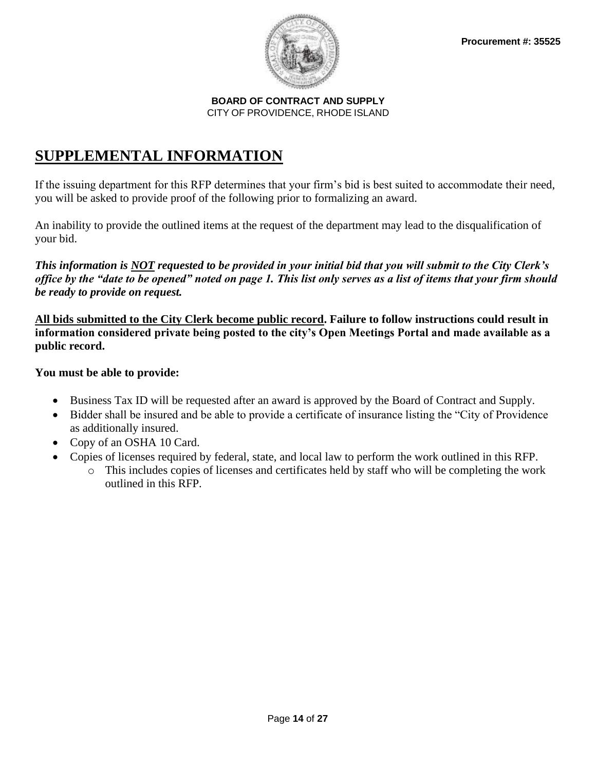

## **SUPPLEMENTAL INFORMATION**

If the issuing department for this RFP determines that your firm's bid is best suited to accommodate their need, you will be asked to provide proof of the following prior to formalizing an award.

An inability to provide the outlined items at the request of the department may lead to the disqualification of your bid.

*This information is NOT requested to be provided in your initial bid that you will submit to the City Clerk's office by the "date to be opened" noted on page 1. This list only serves as a list of items that your firm should be ready to provide on request.*

**All bids submitted to the City Clerk become public record. Failure to follow instructions could result in information considered private being posted to the city's Open Meetings Portal and made available as a public record.** 

## **You must be able to provide:**

- Business Tax ID will be requested after an award is approved by the Board of Contract and Supply.
- Bidder shall be insured and be able to provide a certificate of insurance listing the "City of Providence" as additionally insured.
- Copy of an OSHA 10 Card.
- Copies of licenses required by federal, state, and local law to perform the work outlined in this RFP.
	- o This includes copies of licenses and certificates held by staff who will be completing the work outlined in this RFP.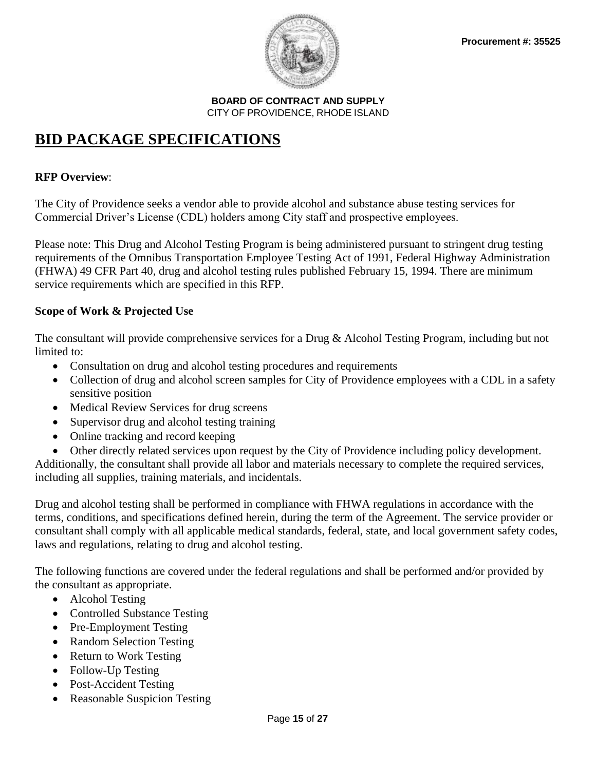

## **BID PACKAGE SPECIFICATIONS**

## **RFP Overview**:

The City of Providence seeks a vendor able to provide alcohol and substance abuse testing services for Commercial Driver's License (CDL) holders among City staff and prospective employees.

Please note: This Drug and Alcohol Testing Program is being administered pursuant to stringent drug testing requirements of the Omnibus Transportation Employee Testing Act of 1991, Federal Highway Administration (FHWA) 49 CFR Part 40, drug and alcohol testing rules published February 15, 1994. There are minimum service requirements which are specified in this RFP.

## **Scope of Work & Projected Use**

The consultant will provide comprehensive services for a Drug & Alcohol Testing Program, including but not limited to:

- Consultation on drug and alcohol testing procedures and requirements
- Collection of drug and alcohol screen samples for City of Providence employees with a CDL in a safety sensitive position
- Medical Review Services for drug screens
- Supervisor drug and alcohol testing training
- Online tracking and record keeping
- Other directly related services upon request by the City of Providence including policy development. Additionally, the consultant shall provide all labor and materials necessary to complete the required services, including all supplies, training materials, and incidentals.

Drug and alcohol testing shall be performed in compliance with FHWA regulations in accordance with the terms, conditions, and specifications defined herein, during the term of the Agreement. The service provider or consultant shall comply with all applicable medical standards, federal, state, and local government safety codes, laws and regulations, relating to drug and alcohol testing.

The following functions are covered under the federal regulations and shall be performed and/or provided by the consultant as appropriate.

- Alcohol Testing
- Controlled Substance Testing
- Pre-Employment Testing
- Random Selection Testing
- Return to Work Testing
- Follow-Up Testing
- Post-Accident Testing
- Reasonable Suspicion Testing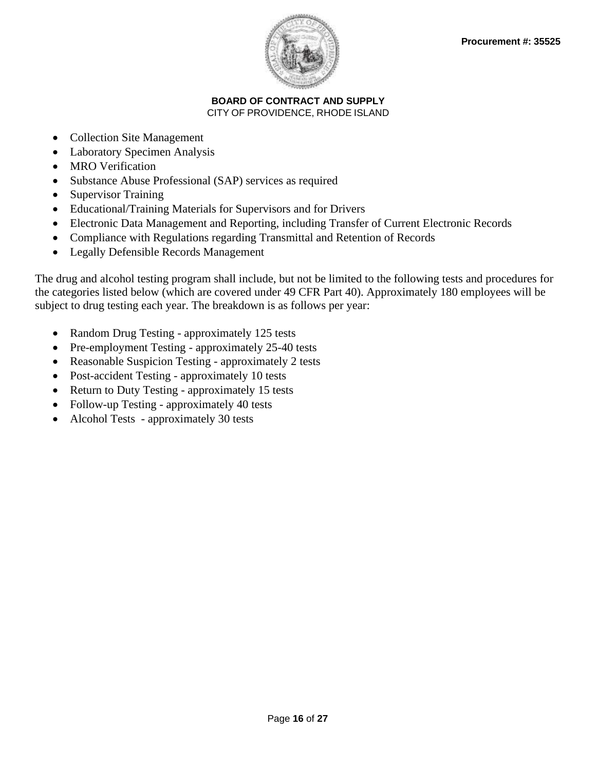

- Collection Site Management
- Laboratory Specimen Analysis
- MRO Verification
- Substance Abuse Professional (SAP) services as required
- Supervisor Training
- Educational/Training Materials for Supervisors and for Drivers
- Electronic Data Management and Reporting, including Transfer of Current Electronic Records
- Compliance with Regulations regarding Transmittal and Retention of Records
- Legally Defensible Records Management

The drug and alcohol testing program shall include, but not be limited to the following tests and procedures for the categories listed below (which are covered under 49 CFR Part 40). Approximately 180 employees will be subject to drug testing each year. The breakdown is as follows per year:

- Random Drug Testing approximately 125 tests
- Pre-employment Testing approximately 25-40 tests
- Reasonable Suspicion Testing approximately 2 tests
- Post-accident Testing approximately 10 tests
- Return to Duty Testing approximately 15 tests
- Follow-up Testing approximately 40 tests
- Alcohol Tests approximately 30 tests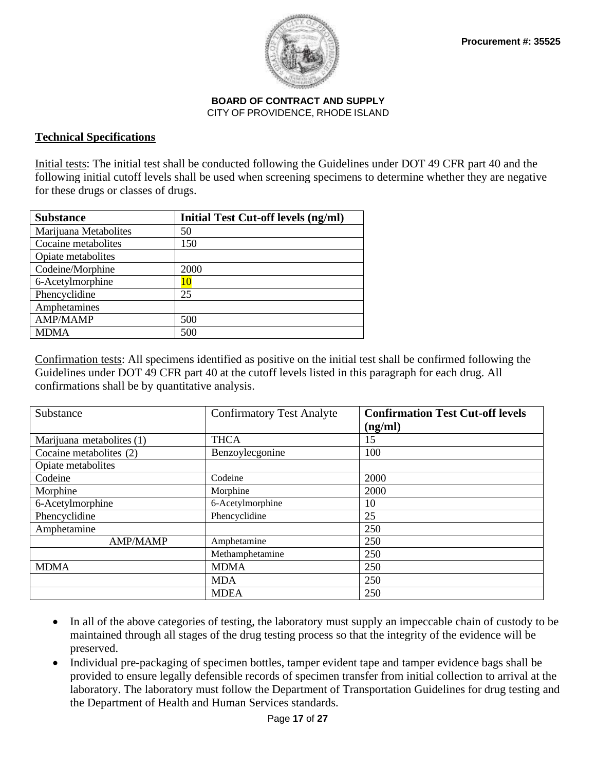

### **Technical Specifications**

Initial tests: The initial test shall be conducted following the Guidelines under DOT 49 CFR part 40 and the following initial cutoff levels shall be used when screening specimens to determine whether they are negative for these drugs or classes of drugs.

| <b>Substance</b>      | Initial Test Cut-off levels (ng/ml) |
|-----------------------|-------------------------------------|
| Marijuana Metabolites | 50                                  |
| Cocaine metabolites   | 150                                 |
| Opiate metabolites    |                                     |
| Codeine/Morphine      | 2000                                |
| 6-Acetylmorphine      | 10                                  |
| Phencyclidine         | 25                                  |
| Amphetamines          |                                     |
| <b>AMP/MAMP</b>       | 500                                 |
| <b>MDMA</b>           | 500                                 |

Confirmation tests: All specimens identified as positive on the initial test shall be confirmed following the Guidelines under DOT 49 CFR part 40 at the cutoff levels listed in this paragraph for each drug. All confirmations shall be by quantitative analysis.

| Substance                 | <b>Confirmatory Test Analyte</b> | <b>Confirmation Test Cut-off levels</b> |
|---------------------------|----------------------------------|-----------------------------------------|
|                           |                                  | (ng/ml)                                 |
| Marijuana metabolites (1) | <b>THCA</b>                      | 15                                      |
| Cocaine metabolites (2)   | Benzoylecgonine                  | 100                                     |
| Opiate metabolites        |                                  |                                         |
| Codeine                   | Codeine                          | 2000                                    |
| Morphine                  | Morphine                         | 2000                                    |
| 6-Acetylmorphine          | 6-Acetylmorphine                 | 10                                      |
| Phencyclidine             | Phencyclidine                    | 25                                      |
| Amphetamine               |                                  | 250                                     |
| <b>AMP/MAMP</b>           | Amphetamine                      | 250                                     |
|                           | Methamphetamine                  | 250                                     |
| <b>MDMA</b>               | <b>MDMA</b>                      | 250                                     |
|                           | <b>MDA</b>                       | 250                                     |
|                           | <b>MDEA</b>                      | 250                                     |

- In all of the above categories of testing, the laboratory must supply an impeccable chain of custody to be maintained through all stages of the drug testing process so that the integrity of the evidence will be preserved.
- Individual pre-packaging of specimen bottles, tamper evident tape and tamper evidence bags shall be provided to ensure legally defensible records of specimen transfer from initial collection to arrival at the laboratory. The laboratory must follow the Department of Transportation Guidelines for drug testing and the Department of Health and Human Services standards.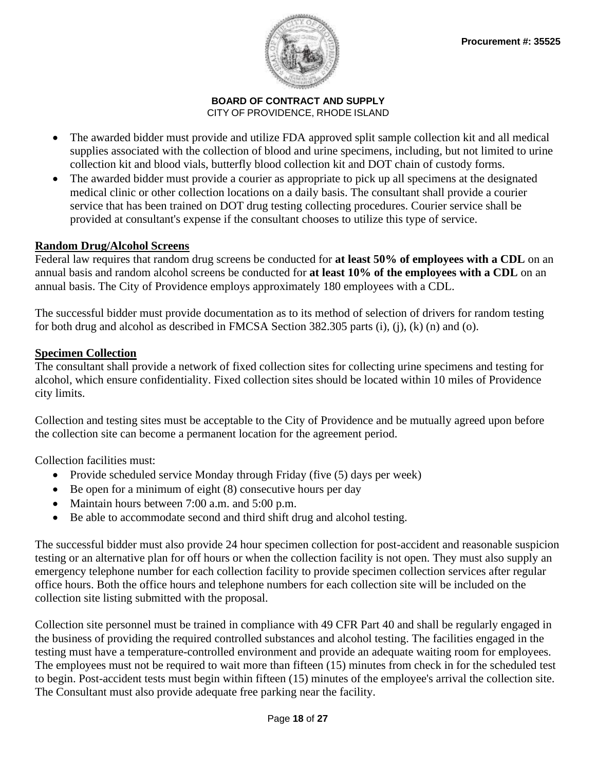

- The awarded bidder must provide and utilize FDA approved split sample collection kit and all medical supplies associated with the collection of blood and urine specimens, including, but not limited to urine collection kit and blood vials, butterfly blood collection kit and DOT chain of custody forms.
- The awarded bidder must provide a courier as appropriate to pick up all specimens at the designated medical clinic or other collection locations on a daily basis. The consultant shall provide a courier service that has been trained on DOT drug testing collecting procedures. Courier service shall be provided at consultant's expense if the consultant chooses to utilize this type of service.

## **Random Drug/Alcohol Screens**

Federal law requires that random drug screens be conducted for **at least 50% of employees with a CDL** on an annual basis and random alcohol screens be conducted for **at least 10% of the employees with a CDL** on an annual basis. The City of Providence employs approximately 180 employees with a CDL.

The successful bidder must provide documentation as to its method of selection of drivers for random testing for both drug and alcohol as described in FMCSA Section 382.305 parts (i), (j), (k) (n) and (o).

## **Specimen Collection**

The consultant shall provide a network of fixed collection sites for collecting urine specimens and testing for alcohol, which ensure confidentiality. Fixed collection sites should be located within 10 miles of Providence city limits.

Collection and testing sites must be acceptable to the City of Providence and be mutually agreed upon before the collection site can become a permanent location for the agreement period.

Collection facilities must:

- Provide scheduled service Monday through Friday (five (5) days per week)
- Be open for a minimum of eight (8) consecutive hours per day
- Maintain hours between 7:00 a.m. and 5:00 p.m.
- Be able to accommodate second and third shift drug and alcohol testing.

The successful bidder must also provide 24 hour specimen collection for post-accident and reasonable suspicion testing or an alternative plan for off hours or when the collection facility is not open. They must also supply an emergency telephone number for each collection facility to provide specimen collection services after regular office hours. Both the office hours and telephone numbers for each collection site will be included on the collection site listing submitted with the proposal.

Collection site personnel must be trained in compliance with 49 CFR Part 40 and shall be regularly engaged in the business of providing the required controlled substances and alcohol testing. The facilities engaged in the testing must have a temperature-controlled environment and provide an adequate waiting room for employees. The employees must not be required to wait more than fifteen (15) minutes from check in for the scheduled test to begin. Post-accident tests must begin within fifteen (15) minutes of the employee's arrival the collection site. The Consultant must also provide adequate free parking near the facility.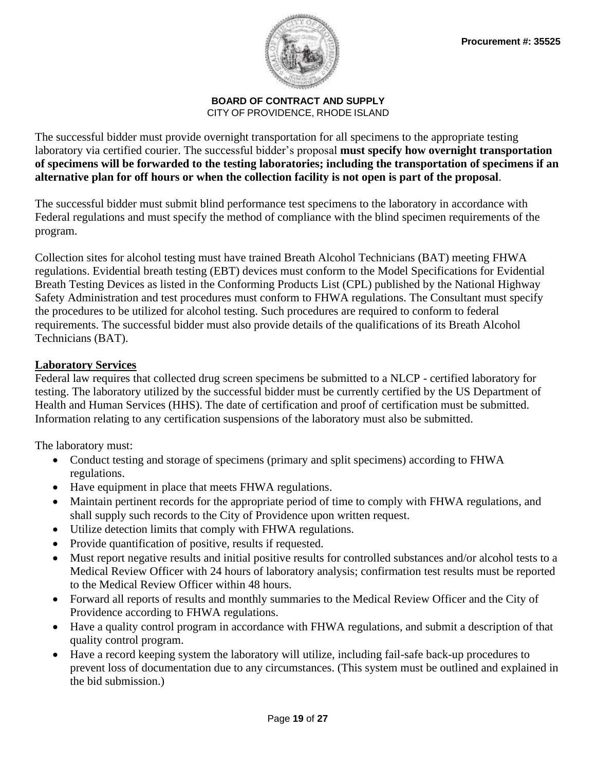

The successful bidder must provide overnight transportation for all specimens to the appropriate testing laboratory via certified courier. The successful bidder's proposal **must specify how overnight transportation of specimens will be forwarded to the testing laboratories; including the transportation of specimens if an alternative plan for off hours or when the collection facility is not open is part of the proposal**.

The successful bidder must submit blind performance test specimens to the laboratory in accordance with Federal regulations and must specify the method of compliance with the blind specimen requirements of the program.

Collection sites for alcohol testing must have trained Breath Alcohol Technicians (BAT) meeting FHWA regulations. Evidential breath testing (EBT) devices must conform to the Model Specifications for Evidential Breath Testing Devices as listed in the Conforming Products List (CPL) published by the National Highway Safety Administration and test procedures must conform to FHWA regulations. The Consultant must specify the procedures to be utilized for alcohol testing. Such procedures are required to conform to federal requirements. The successful bidder must also provide details of the qualifications of its Breath Alcohol Technicians (BAT).

## **Laboratory Services**

Federal law requires that collected drug screen specimens be submitted to a NLCP - certified laboratory for testing. The laboratory utilized by the successful bidder must be currently certified by the US Department of Health and Human Services (HHS). The date of certification and proof of certification must be submitted. Information relating to any certification suspensions of the laboratory must also be submitted.

The laboratory must:

- Conduct testing and storage of specimens (primary and split specimens) according to FHWA regulations.
- Have equipment in place that meets FHWA regulations.
- Maintain pertinent records for the appropriate period of time to comply with FHWA regulations, and shall supply such records to the City of Providence upon written request.
- Utilize detection limits that comply with FHWA regulations.
- Provide quantification of positive, results if requested.
- Must report negative results and initial positive results for controlled substances and/or alcohol tests to a Medical Review Officer with 24 hours of laboratory analysis; confirmation test results must be reported to the Medical Review Officer within 48 hours.
- Forward all reports of results and monthly summaries to the Medical Review Officer and the City of Providence according to FHWA regulations.
- Have a quality control program in accordance with FHWA regulations, and submit a description of that quality control program.
- Have a record keeping system the laboratory will utilize, including fail-safe back-up procedures to prevent loss of documentation due to any circumstances. (This system must be outlined and explained in the bid submission.)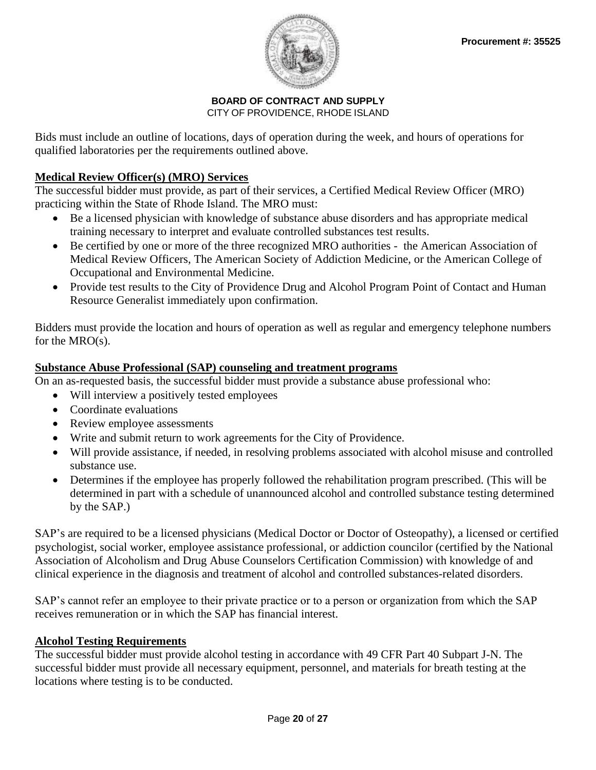

## **BOARD OF CONTRACT AND SUPPLY**

CITY OF PROVIDENCE, RHODE ISLAND

Bids must include an outline of locations, days of operation during the week, and hours of operations for qualified laboratories per the requirements outlined above.

## **Medical Review Officer(s) (MRO) Services**

The successful bidder must provide, as part of their services, a Certified Medical Review Officer (MRO) practicing within the State of Rhode Island. The MRO must:

- Be a licensed physician with knowledge of substance abuse disorders and has appropriate medical training necessary to interpret and evaluate controlled substances test results.
- Be certified by one or more of the three recognized MRO authorities the American Association of Medical Review Officers, The American Society of Addiction Medicine, or the American College of Occupational and Environmental Medicine.
- Provide test results to the City of Providence Drug and Alcohol Program Point of Contact and Human Resource Generalist immediately upon confirmation.

Bidders must provide the location and hours of operation as well as regular and emergency telephone numbers for the MRO(s).

## **Substance Abuse Professional (SAP) counseling and treatment programs**

On an as-requested basis, the successful bidder must provide a substance abuse professional who:

- Will interview a positively tested employees
- Coordinate evaluations
- Review employee assessments
- Write and submit return to work agreements for the City of Providence.
- Will provide assistance, if needed, in resolving problems associated with alcohol misuse and controlled substance use.
- Determines if the employee has properly followed the rehabilitation program prescribed. (This will be determined in part with a schedule of unannounced alcohol and controlled substance testing determined by the SAP.)

SAP's are required to be a licensed physicians (Medical Doctor or Doctor of Osteopathy), a licensed or certified psychologist, social worker, employee assistance professional, or addiction councilor (certified by the National Association of Alcoholism and Drug Abuse Counselors Certification Commission) with knowledge of and clinical experience in the diagnosis and treatment of alcohol and controlled substances-related disorders.

SAP's cannot refer an employee to their private practice or to a person or organization from which the SAP receives remuneration or in which the SAP has financial interest.

## **Alcohol Testing Requirements**

The successful bidder must provide alcohol testing in accordance with 49 CFR Part 40 Subpart J-N. The successful bidder must provide all necessary equipment, personnel, and materials for breath testing at the locations where testing is to be conducted.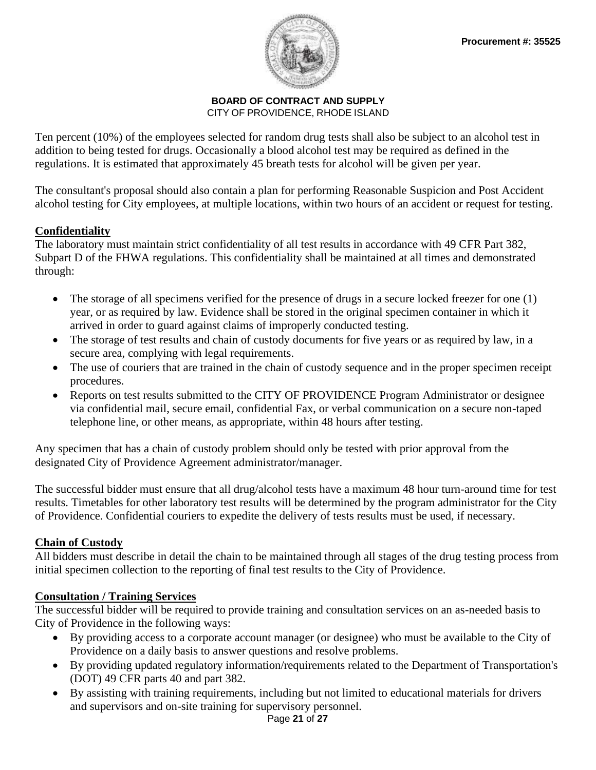

Ten percent (10%) of the employees selected for random drug tests shall also be subject to an alcohol test in addition to being tested for drugs. Occasionally a blood alcohol test may be required as defined in the regulations. It is estimated that approximately 45 breath tests for alcohol will be given per year.

The consultant's proposal should also contain a plan for performing Reasonable Suspicion and Post Accident alcohol testing for City employees, at multiple locations, within two hours of an accident or request for testing.

## **Confidentiality**

The laboratory must maintain strict confidentiality of all test results in accordance with 49 CFR Part 382, Subpart D of the FHWA regulations. This confidentiality shall be maintained at all times and demonstrated through:

- The storage of all specimens verified for the presence of drugs in a secure locked freezer for one (1) year, or as required by law. Evidence shall be stored in the original specimen container in which it arrived in order to guard against claims of improperly conducted testing.
- The storage of test results and chain of custody documents for five years or as required by law, in a secure area, complying with legal requirements.
- The use of couriers that are trained in the chain of custody sequence and in the proper specimen receipt procedures.
- Reports on test results submitted to the CITY OF PROVIDENCE Program Administrator or designee via confidential mail, secure email, confidential Fax, or verbal communication on a secure non-taped telephone line, or other means, as appropriate, within 48 hours after testing.

Any specimen that has a chain of custody problem should only be tested with prior approval from the designated City of Providence Agreement administrator/manager.

The successful bidder must ensure that all drug/alcohol tests have a maximum 48 hour turn-around time for test results. Timetables for other laboratory test results will be determined by the program administrator for the City of Providence. Confidential couriers to expedite the delivery of tests results must be used, if necessary.

## **Chain of Custody**

All bidders must describe in detail the chain to be maintained through all stages of the drug testing process from initial specimen collection to the reporting of final test results to the City of Providence.

## **Consultation / Training Services**

The successful bidder will be required to provide training and consultation services on an as-needed basis to City of Providence in the following ways:

- By providing access to a corporate account manager (or designee) who must be available to the City of Providence on a daily basis to answer questions and resolve problems.
- By providing updated regulatory information/requirements related to the Department of Transportation's (DOT) 49 CFR parts 40 and part 382.
- By assisting with training requirements, including but not limited to educational materials for drivers and supervisors and on-site training for supervisory personnel.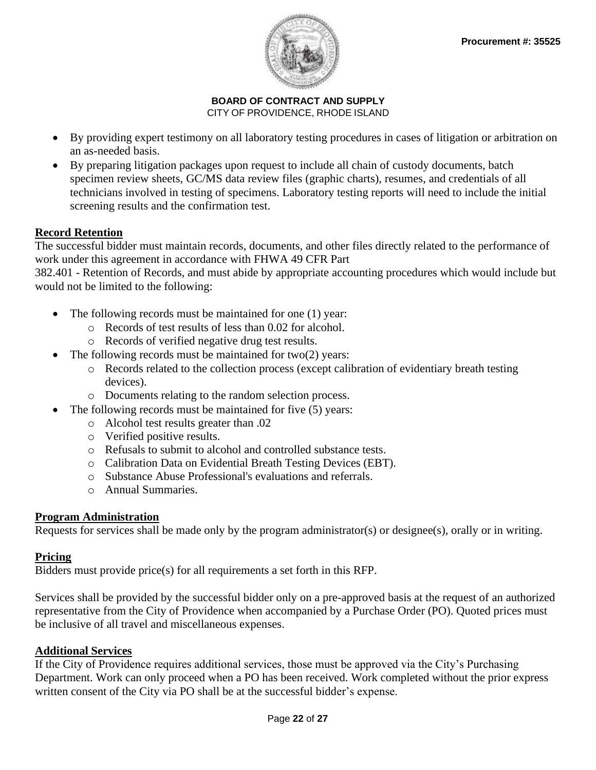

- By providing expert testimony on all laboratory testing procedures in cases of litigation or arbitration on an as-needed basis.
- By preparing litigation packages upon request to include all chain of custody documents, batch specimen review sheets, GC/MS data review files (graphic charts), resumes, and credentials of all technicians involved in testing of specimens. Laboratory testing reports will need to include the initial screening results and the confirmation test.

## **Record Retention**

The successful bidder must maintain records, documents, and other files directly related to the performance of work under this agreement in accordance with FHWA 49 CFR Part

382.401 - Retention of Records, and must abide by appropriate accounting procedures which would include but would not be limited to the following:

- The following records must be maintained for one (1) year:
	- o Records of test results of less than 0.02 for alcohol.
	- o Records of verified negative drug test results.
- The following records must be maintained for  $two(2)$  years:
	- o Records related to the collection process (except calibration of evidentiary breath testing devices).
	- o Documents relating to the random selection process.
- The following records must be maintained for five (5) years:
	- o Alcohol test results greater than .02
	- o Verified positive results.
	- o Refusals to submit to alcohol and controlled substance tests.
	- o Calibration Data on Evidential Breath Testing Devices (EBT).
	- o Substance Abuse Professional's evaluations and referrals.
	- o Annual Summaries.

## **Program Administration**

Requests for services shall be made only by the program administrator(s) or designee(s), orally or in writing.

## **Pricing**

Bidders must provide price(s) for all requirements a set forth in this RFP.

Services shall be provided by the successful bidder only on a pre-approved basis at the request of an authorized representative from the City of Providence when accompanied by a Purchase Order (PO). Quoted prices must be inclusive of all travel and miscellaneous expenses.

## **Additional Services**

If the City of Providence requires additional services, those must be approved via the City's Purchasing Department. Work can only proceed when a PO has been received. Work completed without the prior express written consent of the City via PO shall be at the successful bidder's expense.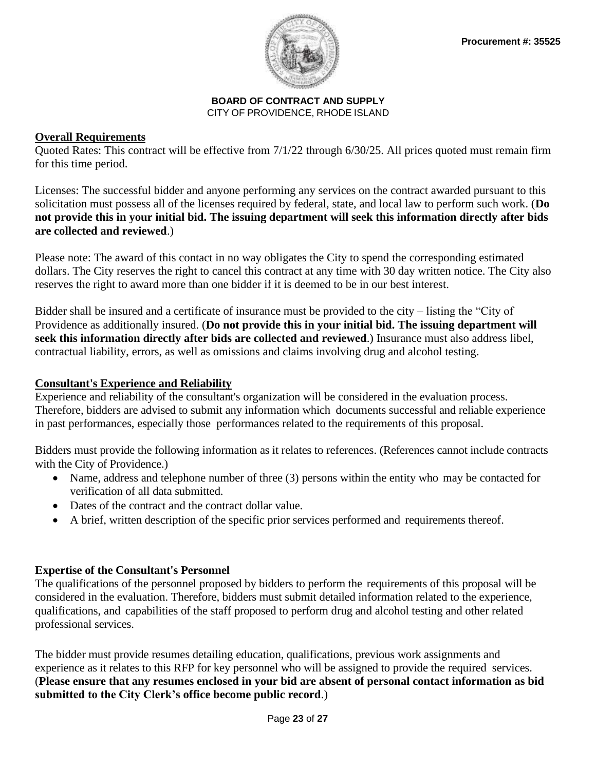

## **Overall Requirements**

Quoted Rates: This contract will be effective from 7/1/22 through 6/30/25. All prices quoted must remain firm for this time period.

Licenses: The successful bidder and anyone performing any services on the contract awarded pursuant to this solicitation must possess all of the licenses required by federal, state, and local law to perform such work. (**Do not provide this in your initial bid. The issuing department will seek this information directly after bids are collected and reviewed**.)

Please note: The award of this contact in no way obligates the City to spend the corresponding estimated dollars. The City reserves the right to cancel this contract at any time with 30 day written notice. The City also reserves the right to award more than one bidder if it is deemed to be in our best interest.

Bidder shall be insured and a certificate of insurance must be provided to the city – listing the "City of Providence as additionally insured. (**Do not provide this in your initial bid. The issuing department will seek this information directly after bids are collected and reviewed**.) Insurance must also address libel, contractual liability, errors, as well as omissions and claims involving drug and alcohol testing.

## **Consultant's Experience and Reliability**

Experience and reliability of the consultant's organization will be considered in the evaluation process. Therefore, bidders are advised to submit any information which documents successful and reliable experience in past performances, especially those performances related to the requirements of this proposal.

Bidders must provide the following information as it relates to references. (References cannot include contracts with the City of Providence.)

- Name, address and telephone number of three (3) persons within the entity who may be contacted for verification of all data submitted.
- Dates of the contract and the contract dollar value.
- A brief, written description of the specific prior services performed and requirements thereof.

## **Expertise of the Consultant's Personnel**

The qualifications of the personnel proposed by bidders to perform the requirements of this proposal will be considered in the evaluation. Therefore, bidders must submit detailed information related to the experience, qualifications, and capabilities of the staff proposed to perform drug and alcohol testing and other related professional services.

The bidder must provide resumes detailing education, qualifications, previous work assignments and experience as it relates to this RFP for key personnel who will be assigned to provide the required services. (**Please ensure that any resumes enclosed in your bid are absent of personal contact information as bid submitted to the City Clerk's office become public record**.)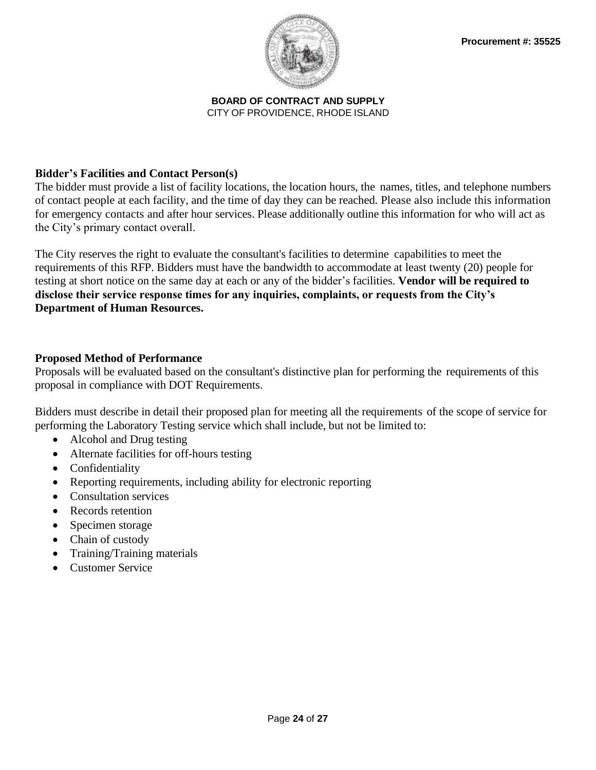

## **Bidder's Facilities and Contact Person(s)**

The bidder must provide a list of facility locations, the location hours, the names, titles, and telephone numbers of contact people at each facility, and the time of day they can be reached. Please also include this information for emergency contacts and after hour services. Please additionally outline this information for who will act as the City's primary contact overall.

The City reserves the right to evaluate the consultant's facilities to determine capabilities to meet the requirements of this RFP. Bidders must have the bandwidth to accommodate at least twenty (20) people for testing at short notice on the same day at each or any of the bidder's facilities. **Vendor will be required to disclose their service response times for any inquiries, complaints, or requests from the City's Department of Human Resources.**

## **Proposed Method of Performance**

Proposals will be evaluated based on the consultant's distinctive plan for performing the requirements of this proposal in compliance with DOT Requirements.

Bidders must describe in detail their proposed plan for meeting all the requirements of the scope of service for performing the Laboratory Testing service which shall include, but not be limited to:

- Alcohol and Drug testing
- Alternate facilities for off-hours testing
- Confidentiality
- Reporting requirements, including ability for electronic reporting
- Consultation services
- Records retention
- Specimen storage
- Chain of custody
- Training/Training materials
- Customer Service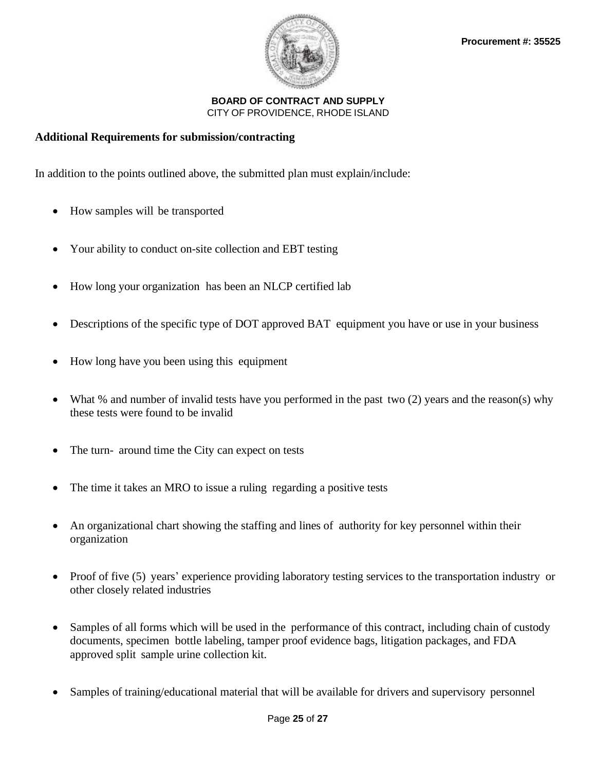

## **Additional Requirements for submission/contracting**

In addition to the points outlined above, the submitted plan must explain/include:

- How samples will be transported
- Your ability to conduct on-site collection and EBT testing
- How long your organization has been an NLCP certified lab
- Descriptions of the specific type of DOT approved BAT equipment you have or use in your business
- How long have you been using this equipment
- What % and number of invalid tests have you performed in the past two (2) years and the reason(s) why these tests were found to be invalid
- The turn- around time the City can expect on tests
- The time it takes an MRO to issue a ruling regarding a positive tests
- An organizational chart showing the staffing and lines of authority for key personnel within their organization
- Proof of five (5) years' experience providing laboratory testing services to the transportation industry or other closely related industries
- Samples of all forms which will be used in the performance of this contract, including chain of custody documents, specimen bottle labeling, tamper proof evidence bags, litigation packages, and FDA approved split sample urine collection kit.
- Samples of training/educational material that will be available for drivers and supervisory personnel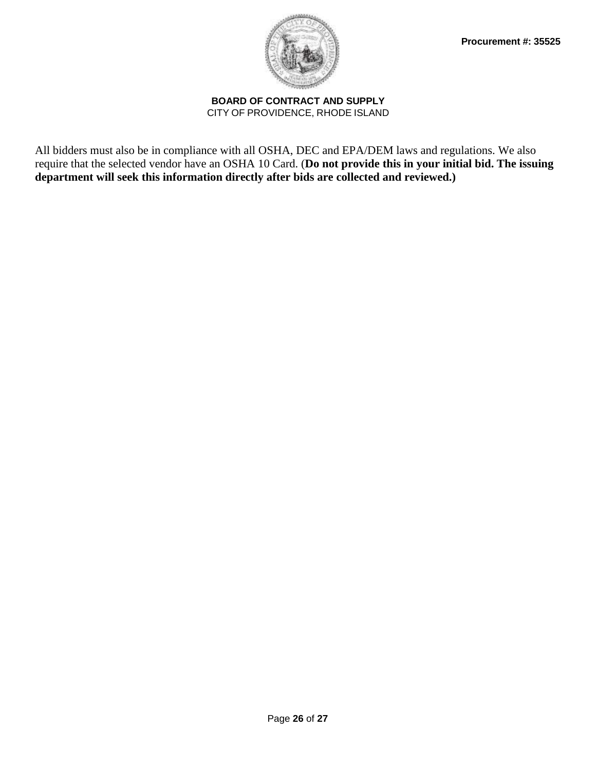

All bidders must also be in compliance with all OSHA, DEC and EPA/DEM laws and regulations. We also require that the selected vendor have an OSHA 10 Card. (**Do not provide this in your initial bid. The issuing department will seek this information directly after bids are collected and reviewed.)**